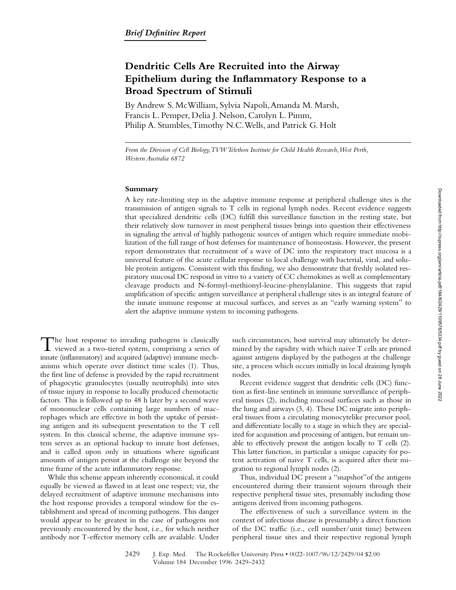# **Dendritic Cells Are Recruited into the Airway Epithelium during the Inflammatory Response to a Broad Spectrum of Stimuli**

By Andrew S. McWilliam, Sylvia Napoli, Amanda M. Marsh, Francis L. Pemper, Delia J. Nelson, Carolyn L. Pimm, Philip A. Stumbles, Timothy N.C. Wells, and Patrick G. Holt

*From the Division of Cell Biology, TVW Telethon Institute for Child Health Research, West Perth, Western Australia 6872*

### **Summary**

A key rate-limiting step in the adaptive immune response at peripheral challenge sites is the transmission of antigen signals to T cells in regional lymph nodes. Recent evidence suggests that specialized dendritic cells (DC) fulfill this surveillance function in the resting state, but their relatively slow turnover in most peripheral tissues brings into question their effectiveness in signaling the arrival of highly pathogenic sources of antigen which require immediate mobilization of the full range of host defenses for maintenance of homeostasis. However, the present report demonstrates that recruitment of a wave of DC into the respiratory tract mucosa is a universal feature of the acute cellular response to local challenge with bacterial, viral, and soluble protein antigens. Consistent with this finding, we also demonstrate that freshly isolated respiratory mucosal DC respond in vitro to a variety of CC chemokines as well as complementary cleavage products and N-formyl-methionyl-leucine-phenylalanine. This suggests that rapid amplification of specific antigen surveillance at peripheral challenge sites is an integral feature of the innate immune response at mucosal surfaces, and serves as an "early warning system" to alert the adaptive immune system to incoming pathogens.

The host response to invading pathogens is classically<br>viewed as a two-tiered system, comprising a series of innate (inflammatory) and acquired (adaptive) immune mechanisms which operate over distinct time scales (1). Thus, the first line of defense is provided by the rapid recruitment of phagocytic granulocytes (usually neutrophils) into sites of tissue injury in response to locally produced chemotactic factors. This is followed up to 48 h later by a second wave of mononuclear cells containing large numbers of macrophages which are effective in both the uptake of persisting antigen and its subsequent presentation to the T cell system. In this classical scheme, the adaptive immune system serves as an optional backup to innate host defenses, and is called upon only in situations where significant amounts of antigen persist at the challenge site beyond the time frame of the acute inflammatory response.

While this scheme appears inherently economical, it could equally be viewed as flawed in at least one respect; viz, the delayed recruitment of adaptive immune mechanisms into the host response provides a temporal window for the establishment and spread of incoming pathogens. This danger would appear to be greatest in the case of pathogens not previously encountered by the host, i.e., for which neither antibody nor T-effector memory cells are available. Under

such circumstances, host survival may ultimately be determined by the rapidity with which naive T cells are primed against antigens displayed by the pathogen at the challenge site, a process which occurs initially in local draining lymph nodes.

Recent evidence suggest that dendritic cells (DC) function as first-line sentinels in immune surveillance of peripheral tissues (2), including mucosal surfaces such as those in the lung and airways (3, 4). These DC migrate into peripheral tissues from a circulating monocytelike precursor pool, and differentiate locally to a stage in which they are specialized for acquisition and processing of antigen, but remain unable to effectively present the antigen locally to T cells (2). This latter function, in particular a unique capacity for potent activation of naive T cells, is acquired after their migration to regional lymph nodes (2).

Thus, individual DC present a "snapshot"of the antigens encountered during their transient sojourn through their respective peripheral tissue sites, presumably including those antigens derived from incoming pathogens.

The effectiveness of such a surveillance system in the context of infectious disease is presumably a direct function of the DC traffic (i.e., cell number/unit time) between peripheral tissue sites and their respective regional lymph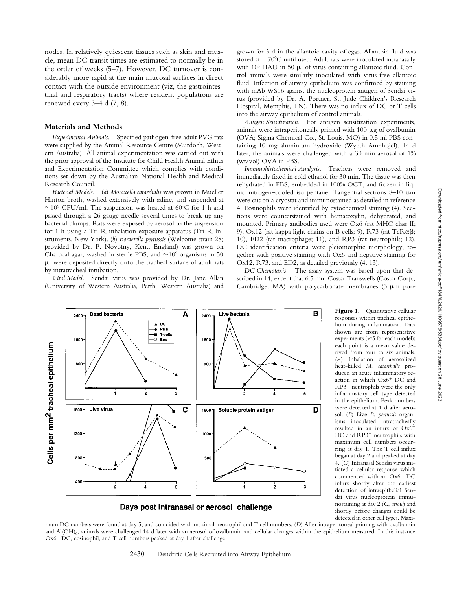nodes. In relatively quiescent tissues such as skin and muscle, mean DC transit times are estimated to normally be in the order of weeks (5–7). However, DC turnover is considerably more rapid at the main mucosal surfaces in direct contact with the outside environment (viz, the gastrointestinal and respiratory tracts) where resident populations are renewed every 3–4 d (7, 8).

## **Materials and Methods**

*Experimental Animals.* Specified pathogen-free adult PVG rats were supplied by the Animal Resource Centre (Murdoch, Western Australia). All animal experimentation was carried out with the prior approval of the Institute for Child Health Animal Ethics and Experimentation Committee which complies with conditions set down by the Australian National Health and Medical Research Council.

*Bacterial Models.* (*a*) *Moraxella catarrhalis* was grown in Mueller Hinton broth, washed extensively with saline, and suspended at  $\sim$ 10<sup>9</sup> CFU/ml. The suspension was heated at 60°C for 1 h and passed through a 26 gauge needle several times to break up any bacterial clumps. Rats were exposed by aerosol to the suspension for 1 h using a Tri-R inhalation exposure apparatus (Tri-R Instruments, New York). (*b*) *Bordetella pertussis* (Welcome strain 28; provided by Dr. P. Novotny, Kent, England) was grown on Charcoal agar, washed in sterile PBS, and  $\sim$ 10<sup>9</sup> organisms in 50 ml were deposited directly onto the tracheal surface of adult rats by intratracheal intubation.

*Viral Model.* Sendai virus was provided by Dr. Jane Allan (University of Western Australia, Perth, Western Australia) and

grown for 3 d in the allantoic cavity of eggs. Allantoic fluid was stored at  $-70^{\circ}$ C until used. Adult rats were inoculated intranasally with 10<sup>3</sup> HAU in 50 µl of virus containing allantoic fluid. Control animals were similarly inoculated with virus-free allantoic fluid. Infection of airway epithelium was confirmed by staining with mAb WS16 against the nucleoprotein antigen of Sendai virus (provided by Dr. A. Portner, St. Jude Children's Research Hospital, Memphis, TN). There was no influx of DC or T cells into the airway epithelium of control animals.

*Antigen Sensitization.* For antigen sensitization experiments, animals were intraperitoneally primed with  $100 \mu$ g of ovalbumin (OVA; Sigma Chemical Co., St. Louis, MO) in 0.5 ml PBS containing 10 mg aluminium hydroxide (Wyeth Amphojel). 14 d later, the animals were challenged with a 30 min aerosol of 1% (wt/vol) OVA in PBS.

*Immunohistochemical Analysis.* Tracheas were removed and immediately fixed in cold ethanol for 30 min. The tissue was then rehydrated in PBS, embedded in 100% OCT, and frozen in liquid nitrogen-cooled iso-pentane. Tangential sections  $8-10 \mu m$ were cut on a cryostat and immunostained as detailed in reference 4. Eosinophils were identified by cytochemical staining (4). Sections were counterstained with hematoxylin, dehydrated, and mounted. Primary antibodies used were Ox6 (rat MHC class II; 9), Ox12 (rat kappa light chains on B cells; 9), R73 (rat  $TcR\alpha\beta$ ; 10), ED2 (rat macrophage; 11), and RP3 (rat neutrophils; 12). DC identification criteria were pleiomorphic morphology, together with positive staining with Ox6 and negative staining for Ox12, R73, and ED2, as detailed previously (4, 13).

*DC Chemotaxis.* The assay system was based upon that described in 14, except that 6.5 mm Costar Transwells (Costar Corp., Cambridge, MA) with polycarbonate membranes  $(3-\mu m)$  pore



Days post intranasal or aerosol challenge

Figure 1. Quantitative cellular responses within tracheal epithelium during inflammation. Data shown are from representative experiments  $(\geq 5$  for each model); each point is a mean value derived from four to six animals. (*A*) Inhalation of aerosolized heat-killed *M. catarrhalis* produced an acute inflammatory reaction in which  $Ox6$ <sup>+</sup> DC and  $RP3$ <sup>+</sup> neutrophils were the only inflammatory cell type detected in the epithelium. Peak numbers were detected at 1 d after aerosol. (*B*) Live *B. pertussis* organisms inoculated intratracheally resulted in an influx of  $Ox6^+$ DC and RP3<sup>+</sup> neutrophils with maximum cell numbers occurring at day 1. The T cell influx began at day 2 and peaked at day 4. (*C*) Intranasal Sendai virus initiated a cellular response which commenced with an Ox6<sup>+</sup> DC influx shortly after the earliest detection of intraepithelial Sendai virus nucleoprotein immunostaining at day 2 (*C*, *arrow*) and shortly before changes could be detected in other cell types. Maxi-

mum DC numbers were found at day 5, and coincided with maximal neutrophil and T cell numbers. (*D*) After intraperitoneal priming with ovalbumin and Al(OH)<sub>6</sub>, animals were challenged 14 d later with an aerosol of ovalbumin and cellular changes within the epithelium measured. In this instance  $Ox6$ <sup>+</sup> DC, eosinophil, and T cell numbers peaked at day 1 after challenge.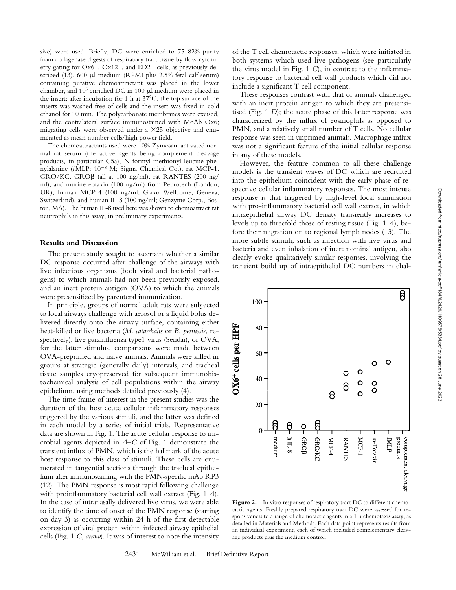size) were used. Briefly, DC were enriched to 75–82% purity from collagenase digests of respiratory tract tissue by flow cytometry gating for  $Ox6^+$ ,  $Ox12^-$ , and  $ED2^-$ -cells, as previously described (13). 600 µl medium (RPMI plus 2.5% fetal calf serum) containing putative chemoattractant was placed in the lower chamber, and 105 enriched DC in 100 ml medium were placed in the insert; after incubation for 1 h at  $37^{\circ}$ C, the top surface of the inserts was washed free of cells and the insert was fixed in cold ethanol for 10 min. The polycarbonate membranes were excised, and the contralateral surface immunostained with MoAb Ox6; migrating cells were observed under a  $\times$ 25 objective and enumerated as mean number cells/high power field.

The chemoattractants used were 10% Zymosan–activated normal rat serum (the active agents being complement cleavage products, in particular C5a), N-formyl-methionyl-leucine-phenylalanine (*fMLP*;  $10^{-8}$  M; Sigma Chemical Co.), rat MCP-1, GRO/KC, GRO $\beta$  (all at 100 ng/ml), rat RANTES (200 ng/ ml), and murine eotaxin (100 ng/ml) from Peprotech (London, UK), human MCP-4 (100 ng/ml; Glaxo Wellcome, Geneva, Switzerland), and human IL-8 (100 ng/ml; Genzyme Corp., Boston, MA). The human IL-8 used here was shown to chemoattract rat neutrophils in this assay, in preliminary experiments.

# **Results and Discussion**

The present study sought to ascertain whether a similar DC response occurred after challenge of the airways with live infectious organisms (both viral and bacterial pathogens) to which animals had not been previously exposed, and an inert protein antigen (OVA) to which the animals were presensitized by parenteral immunization.

In principle, groups of normal adult rats were subjected to local airways challenge with aerosol or a liquid bolus delivered directly onto the airway surface, containing either heat-killed or live bacteria (*M. catarrhalis* or *B. pertussis*, respectively), live parainfluenza type1 virus (Sendai), or OVA; for the latter stimulus, comparisons were made between OVA-preprimed and naive animals. Animals were killed in groups at strategic (generally daily) intervals, and tracheal tissue samples cryopreserved for subsequent immunohistochemical analysis of cell populations within the airway epithelium, using methods detailed previously (4).

The time frame of interest in the present studies was the duration of the host acute cellular inflammatory responses triggered by the various stimuli, and the latter was defined in each model by a series of initial trials. Representative data are shown in Fig. 1. The acute cellular response to microbial agents depicted in *A–C* of Fig. 1 demonstrate the transient influx of PMN, which is the hallmark of the acute host response to this class of stimuli. These cells are enumerated in tangential sections through the tracheal epithelium after immunostaining with the PMN-specific mAb RP3 (12). The PMN response is most rapid following challenge with proinflammatory bacterial cell wall extract (Fig. 1 *A*). In the case of intranasally delivered live virus, we were able to identify the time of onset of the PMN response (starting on day 3) as occurring within 24 h of the first detectable expression of viral protein within infected airway epithelial cells (Fig. 1 *C*, *arrow*). It was of interest to note the intensity

of the T cell chemotactic responses, which were initiated in both systems which used live pathogens (see particularly the virus model in Fig. 1 *C*), in contrast to the inflammatory response to bacterial cell wall products which did not include a significant T cell component.

These responses contrast with that of animals challenged with an inert protein antigen to which they are presensitised (Fig. 1 *D*); the acute phase of this latter response was characterized by the influx of eosinophils as opposed to PMN, and a relatively small number of T cells. No cellular response was seen in unprimed animals. Macrophage influx was not a significant feature of the initial cellular response in any of these models.

However, the feature common to all these challenge models is the transient waves of DC which are recruited into the epithelium coincident with the early phase of respective cellular inflammatory responses. The most intense response is that triggered by high-level local stimulation with pro-inflammatory bacterial cell wall extract, in which intraepithelial airway DC density transiently increases to levels up to threefold those of resting tissue (Fig. 1 *A*), before their migration on to regional lymph nodes (13). The more subtle stimuli, such as infection with live virus and bacteria and even inhalation of inert nominal antigen, also clearly evoke qualitatively similar responses, involving the transient build up of intraepithelial DC numbers in chal-



Figure 2. In vitro responses of respiratory tract DC to different chemotactic agents. Freshly prepared respiratory tract DC were assessed for responsiveness to a range of chemotactic agents in a 1 h chemotaxis assay, as detailed in Materials and Methods. Each data point represents results from an individual experiment, each of which included complementary cleavage products plus the medium control.